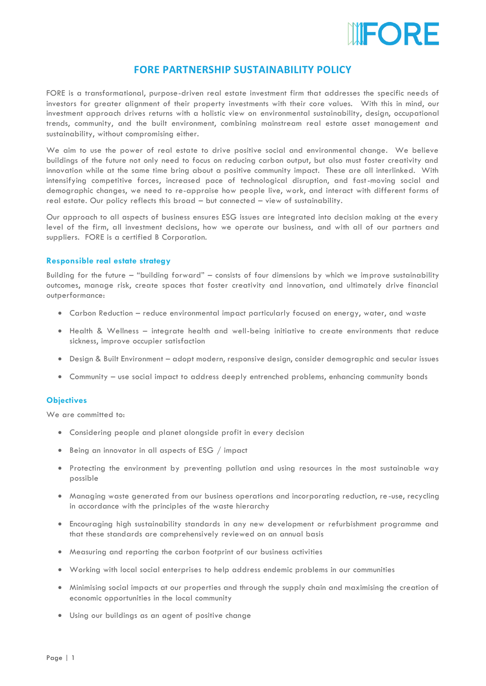

## **FORE PARTNERSHIP SUSTAINABILITY POLICY**

FORE is a transformational, purpose-driven real estate investment firm that addresses the specific needs of investors for greater alignment of their property investments with their core values. With this in mind, our investment approach drives returns with a holistic view on environmental sustainability, design, occupational trends, community, and the built environment, combining mainstream real estate asset management and sustainability, without compromising either.

We aim to use the power of real estate to drive positive social and environmental change. We believe buildings of the future not only need to focus on reducing carbon output, but also must foster creativity and innovation while at the same time bring about a positive community impact. These are all interlinked. With intensifying competitive forces, increased pace of technological disruption, and fast-moving social and demographic changes, we need to re-appraise how people live, work, and interact with different forms of real estate. Our policy reflects this broad – but connected – view of sustainability.

Our approach to all aspects of business ensures ESG issues are integrated into decision making at the every level of the firm, all investment decisions, how we operate our business, and with all of our partners and suppliers. FORE is a certified B Corporation.

## **Responsible real estate strategy**

Building for the future – "building forward" – consists of four dimensions by which we improve sustainability outcomes, manage risk, create spaces that foster creativity and innovation, and ultimately drive financial outperformance:

- Carbon Reduction reduce environmental impact particularly focused on energy, water, and waste
- Health & Wellness integrate health and well-being initiative to create environments that reduce sickness, improve occupier satisfaction
- Design & Built Environment adopt modern, responsive design, consider demographic and secular issues
- Community use social impact to address deeply entrenched problems, enhancing community bonds

## **Objectives**

We are committed to:

- Considering people and planet alongside profit in every decision
- Being an innovator in all aspects of ESG / impact
- Protecting the environment by preventing pollution and using resources in the most sustainable way possible
- Managing waste generated from our business operations and incorporating reduction, re -use, recycling in accordance with the principles of the waste hierarchy
- Encouraging high sustainability standards in any new development or refurbishment programme and that these standards are comprehensively reviewed on an annual basis
- Measuring and reporting the carbon footprint of our business activities
- Working with local social enterprises to help address endemic problems in our communities
- Minimising social impacts at our properties and through the supply chain and maximising the creation of economic opportunities in the local community
- Using our buildings as an agent of positive change